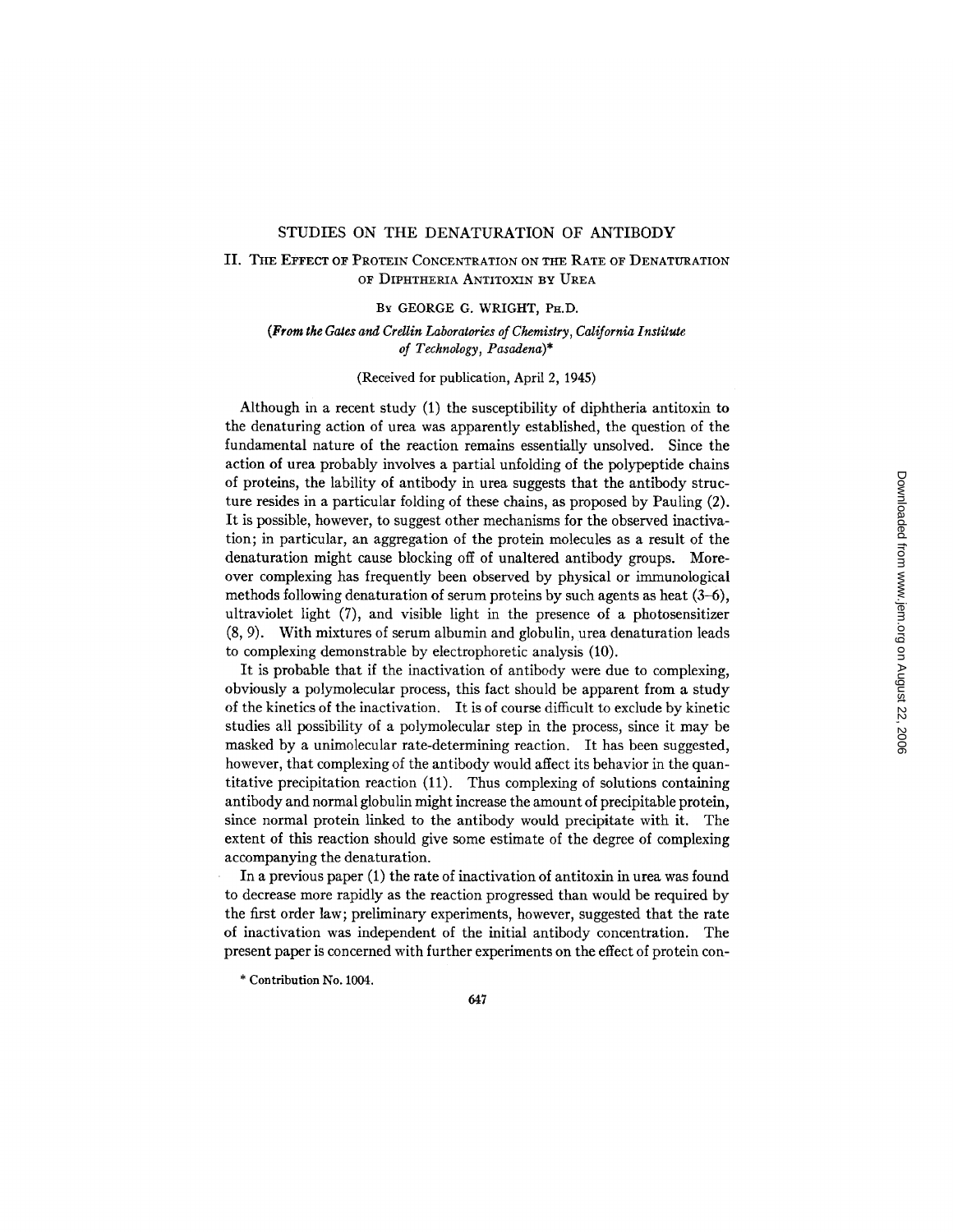## STUDIES ON THE DENATURATION OF ANTIBODY

# II. THE EFFECT OF PROTEIN CONCENTRATION ON THE RATE OF DENATURATION OF DIPHTHERIA ANTITOXIN BY UREA

### BY GEORGE G. WRIGHT, PH.D.

## (From the Gates and Crellin Laboratories of Chemistry, California Institute *of Technology, Pasadena)\**

## (Received for publication, April 2, 1945)

Although in a recent study (1) the susceptibility of diphtheria antitoxin to the denaturing action of urea was apparently established, the question of the fundamental nature of the reaction remains essentially unsolved. Since the action of urea probably involves a partial unfolding of the polypeptide chains of proteins, the lability of antibody in urea suggests that the antibody structure resides in a particular folding of these chains, as proposed by Pauling (2). It is possible, however, to suggest other mechanisms for the observed inactivation; in particular, an aggregation of the protein molecules as a result of the denaturation might cause blocking off of unaltered antibody groups. Moreover complexing has frequently been observed by physical or immunological methods following denaturation of serum proteins by such agents as heat (3-6), ultraviolet light (7), and visible light in the presence of a photosensitizer (8, 9). With mixtures of serum albumin and globulin, urea denaturation leads to complexing demonstrable by electrophoretic analysis (10).

It is probable that if the inactivation of antibody were due to complexing, obviously a polymolecular process, this fact should be apparent from a study of the kinetics of the inactivation. It is of course difficult to exclude by kinetic studies all possibility of a polymolecular step in the process, since it may be masked by a unimolecular rate-determining reaction. It has been suggested, however, that complexing of the antibody would affect its behavior in the quantitative precipitation reaction (11). Thus complexing of solutions containing antibody and normal globulin might increase the amount of precipitable protein, since normal protein linked to the antibody would precipitate with it. The extent of this reaction should give some estimate of the degree of complexing accompanying the denaturation.

In a previous paper (1) the rate of inactivation of antitoxin in urea was found to decrease more rapidly as the reaction progressed than would be required by the first order law; preliminary experiments, however, suggested that the rate of inactivation was independent of the initial antibody concentration. The present paper is concerned with further experiments on the effect of protein con-

<sup>\*</sup> Contribution No. 1004.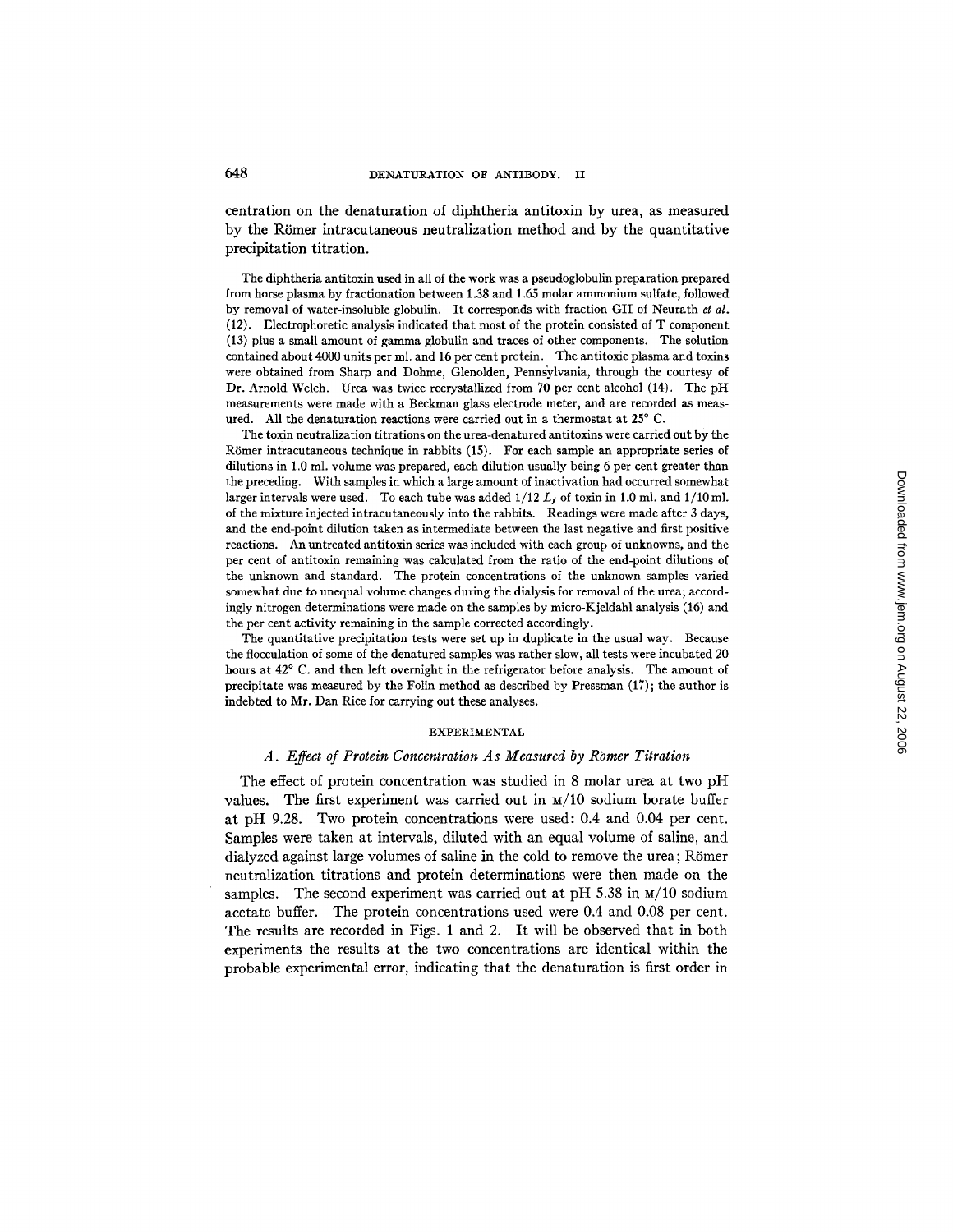centration on the denaturation of diphtheria antitoxin by urea, as measured by the Römer intracutaneous neutralization method and by the quantitative precipitation titration.

The diphtheria antitoxin used in all of the work was a pseudoglobulin preparation prepared from horse plasma by fractionation between 1.38 and 1.65 molar ammonium sulfate, followed by removal of water-insoluble globulin. It corresponds with fraction GII of Neurath *et al.*  (12). Electrophoretic analysis indicated that most of the protein consisted of T component (13) plus a small amount of gamma globulin and traces of other components. The solution contained about 4000 units per ml. and 16 per cent protein. The antitoxic plasma and toxins were obtained from Sharp and Dohme, Glenolden, Pennsylvania, through the courtesy of Dr. Arnold Welch. Urea was twice recrystallized from 70 per cent alcohol (14). The pH measurements were made with a Beckman glass electrode meter, and are recorded as measured. All the denaturation reactions were carried out in a thermostat at 25° C.

The toxin neutralization titrations on the urea-denatured antitoxins were carried out by the R6mer intracutaneous technique in rabbits (15). For each sample an appropriate series of dilutions in 1.0 ml. volume was prepared, each dilution usually being 6 per cent greater than the preceding. With samples in which a large amount of inactivation had occurred somewhat larger intervals were used. To each tube was added  $1/12 L_f$  of toxin in 1.0 ml. and  $1/10$  ml. of the mixture injected intracutaneously into the rabbits. Readings were made after 3 days, and the end-point dilution taken as intermediate between the last negative and first positive reactions. An untreated antitoxin series was included with each group of unknowns, and the per cent of antitoxin remaining was calculated from the ratio of the end-point dilutions of the unknown and Standard. The protein concentrations of the unknown samples varied somewhat due to unequal volume changes during the dialysis for removal of the urea; accordingly nitrogen determinations were made on the samples by micro-Kjeldahl analysis (16) and the per cent activity remaining in the sample corrected accordingly.

The quantitative precipitation tests were set up in duplicate in the usual way. Because the flocculation of some of the denatured samples was rather slow, all tests were incubated 20 hours at  $42^{\circ}$  C. and then left overnight in the refrigerator before analysis. The amount of precipitate was measured by the Folin method as described by Pressman (17); the author is indebted to Mr. Dan Rice for carrying out these analyses.

#### EXPERIMENTAL

### A. Effect of Protein Concentration As Measured by Römer Titration

The effect of protein concentration was studied in 8 molar urea at two pH values. The first experiment was carried out in  $M/10$  sodium borate buffer at pH 9.28. Two protein concentrations were used: 0.4 and 0.04 per cent. Samples were taken at intervals, diluted with an equal volume of saline, and dialyzed against large volumes of saline in the cold to remove the urea; Römer neutralization titrations and protein determinations were then made on the samples. The second experiment was carried out at pH 5.38 in  $\text{m}/10$  sodium acetate buffer. The protein concentrations used were 0.4 and 0.08 per cent. The results are recorded in Figs. 1 and 2. It will be observed that in both experiments the results at the two concentrations are identical within the probable experimental error, indicating that the denaturation is first order in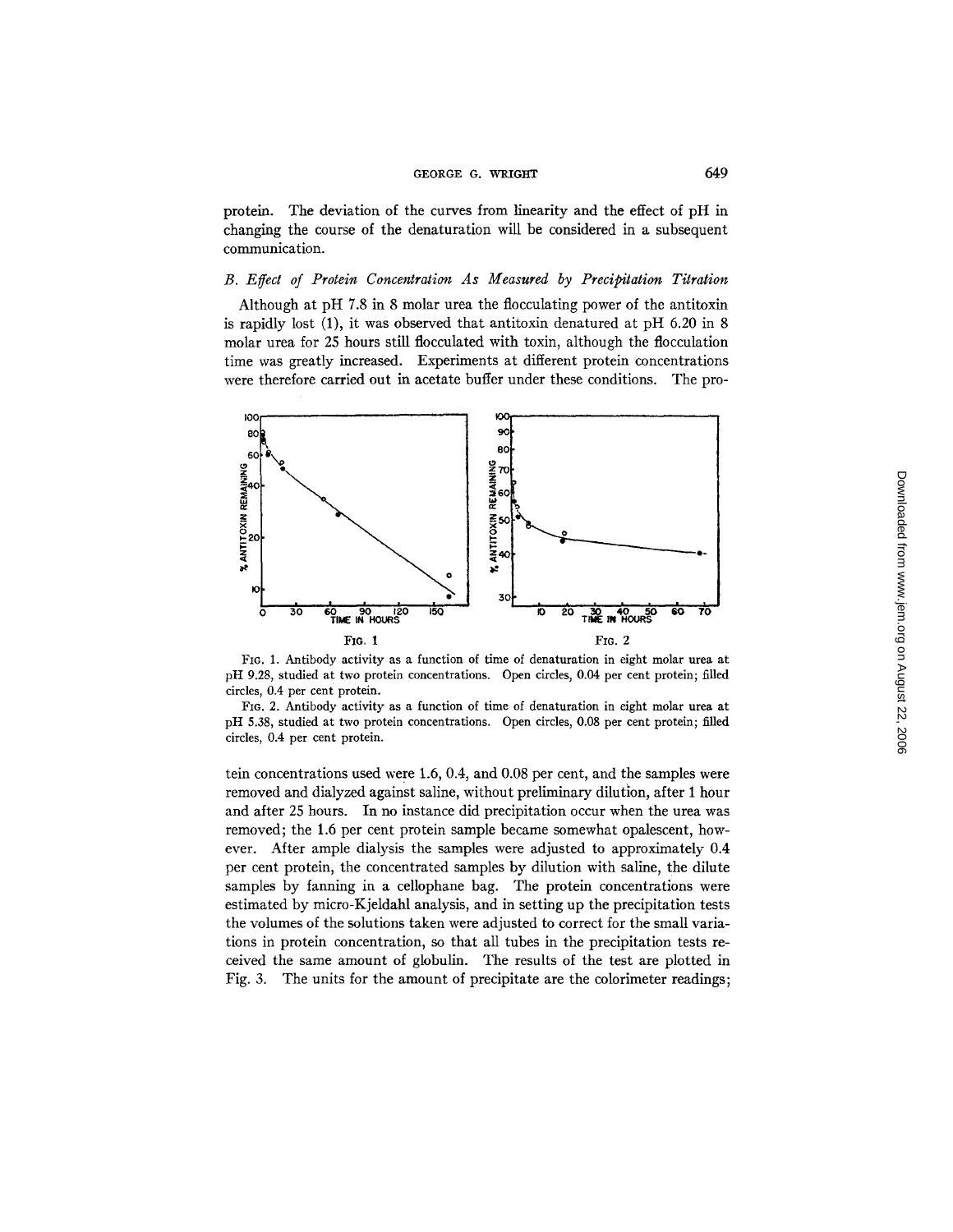### GEORGE G. WRIGHT 649

protein. The deviation of the curves from linearity and the effect of pH in changing the course of the denaturation will be considered in a subsequent communication.

## *B. E~ect of Protein Concentration As Measured by Precipitation Titration*

Although at pH 7.8 in 8 molar urea the flocculating power of the antitoxin is rapidly lost (1), it was observed that antitoxin denatured at pH 6.20 in 8 molar urea for 25 hours still flocculated with toxin, although the flocculation time was greatly increased. Experiments at different protein concentrations were therefore carried out in acetate buffer under these conditions. The pro-



FIG. 1. Antibody activity as a function of time of denaturation in eight molar urea at pH 9.28, studied at two protein concentrations. Open circles, 0.04 per cent protein; filled circles, 0.4 per cent protein.

FIG. 2. Antibody activity as a function of time of denaturation in eight molar urea at pH 5.38, studied at two protein concentrations. Open circles, 0.08 per cent protein; filled circles, 0.4 per cent protein.

tein concentrations used were 1.6, 0.4, and 0.08 per cent, and the samples were removed and dialyzed against saline, without preliminary dilution, after 1 hour and after 25 hours. In no instance did precipitation occur when the urea was removed; the 1.6 per cent protein sample became somewhat opalescent, however. After ample dialysis the samples were adjusted to approximately 0.4 per cent protein, the concentrated samples by dilution with saline, the dilute samples by fanning in a cellophane bag. The protein concentrations were estimated by micro-Kjeldahl analysis, and in setting up the precipitation tests the volumes of the solutions taken were adjusted to correct for the small variations in protein concentration, so that all tubes in the precipitation tests received the same amount of globulin. The results of the test are plotted in Fig. 3. The units for the amount of precipitate are the colorimeter readings;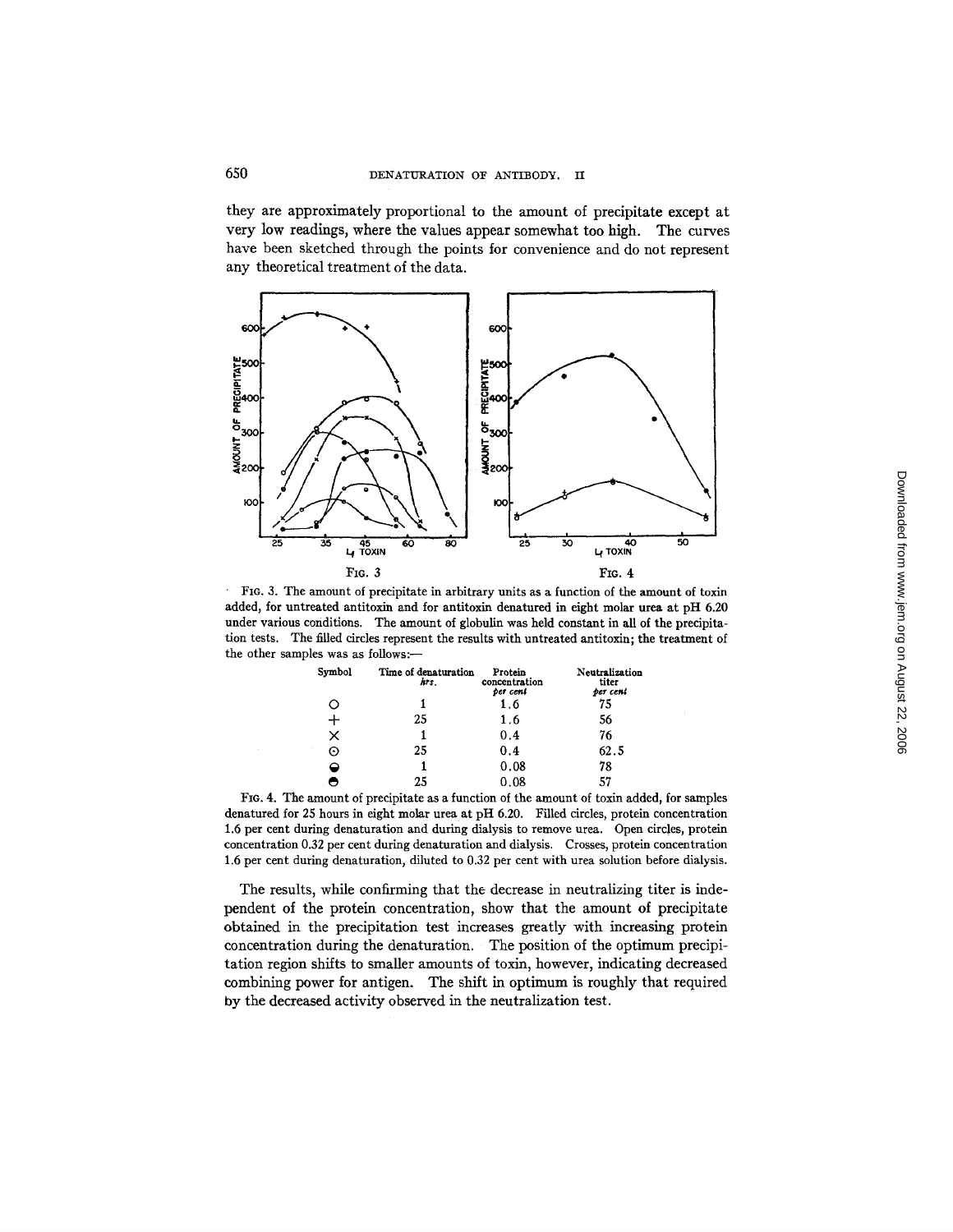they are approximately proportional to the amount of precipitate except at very low readings, where the values appear somewhat too high. The curves have been sketched through the points for convenience and do not represent any theoretical treatment of the data.



FIG. 3. The amount of precipitate in arbitrary units as a function of the amount of toxin added, for untreated antitoxin and for antitoxin denatured in eight molar urea at pH 6.20 under various conditions. The amount of globulin was held constant in all of the precipitation tests. The filled circles represent the results with untreated antitoxin; the treatment of the other samples was as follows:-

| Symbol  | Time of denaturation<br>hrs. | Protein<br>concentration<br>per cent | Neutralization<br>titer<br>ber cent |
|---------|------------------------------|--------------------------------------|-------------------------------------|
| ∩       |                              | 1.6                                  | 75                                  |
| ┿       | 25                           | 1.6                                  | 56                                  |
| X       |                              | 0.4                                  | 76                                  |
| ×.<br>Θ | 25                           | 0.4                                  | 62.5                                |
| ≏       |                              | 0.08                                 | 78                                  |
|         | 25                           | 0.08                                 | 57                                  |

FIG. 4. The amount of precipitate as a function of the amount of toxin added, for samples denatured for 25 hours in eight molar urea at pH 6.20. Filled circles, protein concentration 1.6 per cent during denaturation and during dialysis to remove urea. Open circles, protein concentration 0.32 per cent during denaturation and dialysis. Crosses, protein concentration 1.6 per cent during denaturation, diluted to 0.32 per cent with urea solution before dialysis.

The results, while confirming that the decrease in neutralizing titer is independent of the protein concentration, show that the amount of precipitate obtained in the precipitation test increases greatly with increasing protein concentration during the denaturation. The position of the optimum precipitation region shifts to smaller amounts of toxin, however, indicating decreased combining power for antigen. The shift in optimum is roughly that required by the decreased activity observed in the neutralization test.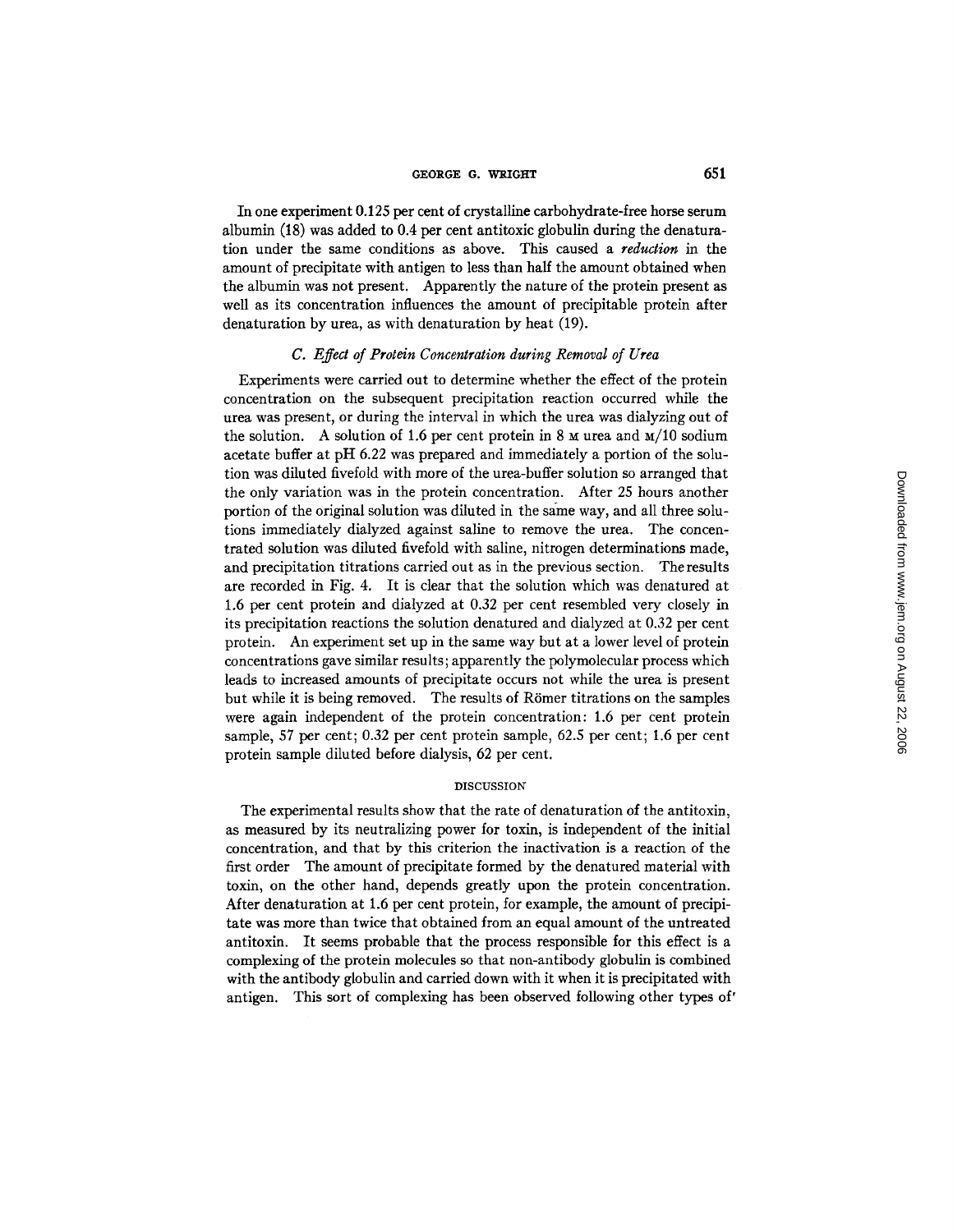### GEORGE G. WRIGHT 651

In one experiment 0.125 per cent of crystalline carbohydrate-free horse serum albumin (18) was added to 0.4 per cent antitoxic globulin during the denaturation under the same conditions as above. This caused a *reduction* in the amount of precipitate with antigen to less than half the amount obtained when the albumin was not present. Apparently the nature of the protein present as well as its concentration influences the amount of precipitable protein after denaturation by urea, as with denaturation by heat (19).

## *C. Effect of Protein Concentration during Removal of Urea*

Experiments were carried out to determine whether the effect of the protein concentration on the subsequent precipitation reaction occurred while the urea was present, or during the interval in which the urea was dialyzing out of the solution. A solution of 1.6 per cent protein in 8  $\mu$  urea and  $\mu/10$  sodium acetate buffer at pH 6.22 was prepared and immediately a portion of the solution was diluted fivefold with more of the urea-buffer solution so arranged that the only variation was in the protein concentration. After 25 hours another portion of the original solution was diluted in the same way, and all three solutions immediately dialyzed against saline to remove the urea. The concentrated solution was diluted fivefold with saline, nitrogen determinations made, and precipitation titrations carried out as in the previous section. The results are recorded in Fig. 4. It is clear that the solution which was denatured at 1.6 per cent protein and dialyzed at 0.32 per cent resembled very closely in its precipitation reactions the solution denatured and dialyzed at 0.32 per cent protein. An experiment set up in the same way but at a lower level of protein concentrations gave similar results; apparently the polymolecular process which leads to increased amounts of precipitate occurs not while the urea is present but while it is being removed. The results of Römer titrations on the samples were again independent of the protein concentration: 1.6 per cent protein sample, 57 per cent; 0.32 per cent protein sample, 62.5 per cent; 1.6 per cent protein sample diluted before dialysis, 62 per cent.

### DISCUSSION

The experimental results show that the rate of denaturation of the antitoxin, as measured by its neutralizing power for toxin, is independent of the initial concentration, and that by this criterion the inactivation is a reaction of the first order The amount of precipitate formed by the denatured material with toxin, on the other hand, depends greatly upon the protein concentration. After denaturation at 1.6 per cent protein, for example, the amount of precipitate was more than twice that obtained from an equal amount of the untreated antitoxin. It seems probable that the process responsible for this effect is a complexing of the protein molecules so that non-antibody globulin is combined with the antibody globulin and carried down with it when it is precipitated with antigen. This sort of complexing has been observed following other types of"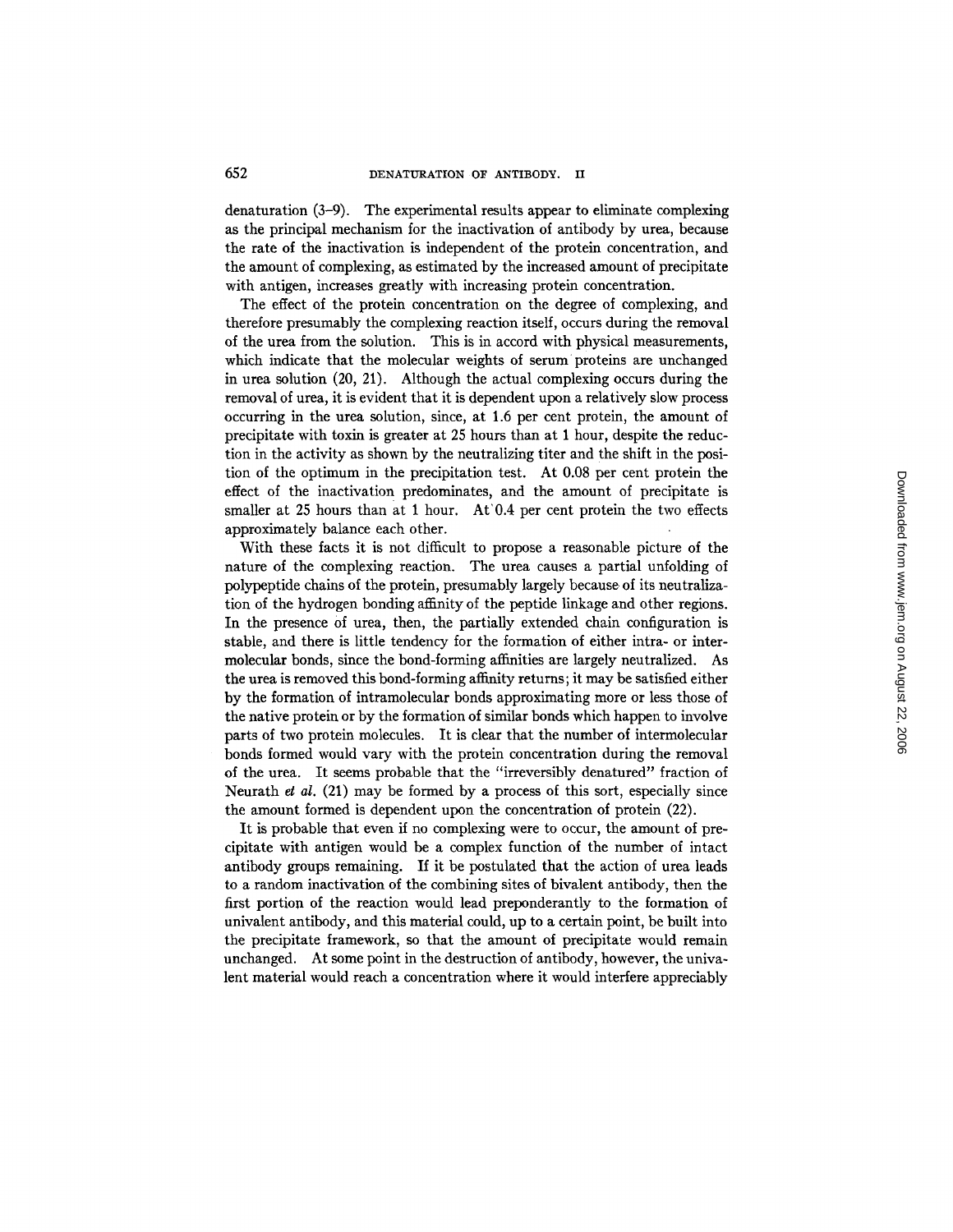denaturation (3-9). The experimental results appear to eliminate complexing as the principal mechanism for the inactivation of antibody by urea, because the rate of the inactivation is independent of the protein concentration, and the amount of complexing, as estimated by the increased amount of precipitate with antigen, increases greatly with increasing protein concentration.

The effect of the protein concentration on the degree of complexing, and therefore presumably the complexing reaction itself, occurs during the removal of the urea from the solution. This is in accord with physical measurements, which indicate that the molecular weights of serum proteins are unchanged in urea solution (20, 21). Although the actual complexing occurs during the removal of urea, it is evident that it is dependent upon a relatively slow process occurring in the urea solution, since, at 1.6 per cent protein, the amount of precipitate with toxin is greater at 25 hours than at 1 hour, despite the reduction in the activity as shown by the neutralizing titer and the shift in the position of the optimum in the precipitation test. At 0.08 per cent protein the effect of the inactivation predominates, and the amount of precipitate is smaller at 25 hours than at 1 hour. At'0.4 per cent protein the two effects approximately balance each other.

With these facts it is not difficult to propose a reasonable picture of the nature of the complexing reaction. The urea causes a partial unfolding of polypeptide chains of the protein, presumably largely because of its neutralization of the hydrogen bonding affinity of the peptide linkage and other regions. In the presence of urea, then, the partially extended chain configuration is stable, and there is little tendency for the formation of either intra- or intermolecular bonds, since the bond-forming affinities are largely neutralized. As the urea is removed this bond-forming affinity returns; it may be satisfied either by the formation of intramolecular bonds approximating more or less those of the native protein or by the formation of similar bonds which happen to involve parts of two protein molecules. It is clear that the number of intermolecular bonds formed would vary with the protein concentration during the removal of the urea. It seems probable that the *"irreversibly* denatured" fraction of Neurath *et al.* (21) may be formed by a process of this sort, especially since the amount formed is dependent upon the concentration of protein (22).

It is probable that even if no complexing were to occur, the amount of precipitate with antigen would be a complex function of the number of intact antibody groups remaining. If it be postulated that the action of urea leads to a random inactivation of the combining sites of bivalent antibody, then the first portion of the reaction would lead preponderantly to the formation of univalent antibody, and this material could, up to a certain point, be built into the precipitate framework, so that the amount of precipitate would remain unchanged. At some point in the destruction of antibody, however, the univalent material would reach a concentration where it would interfere appreciably